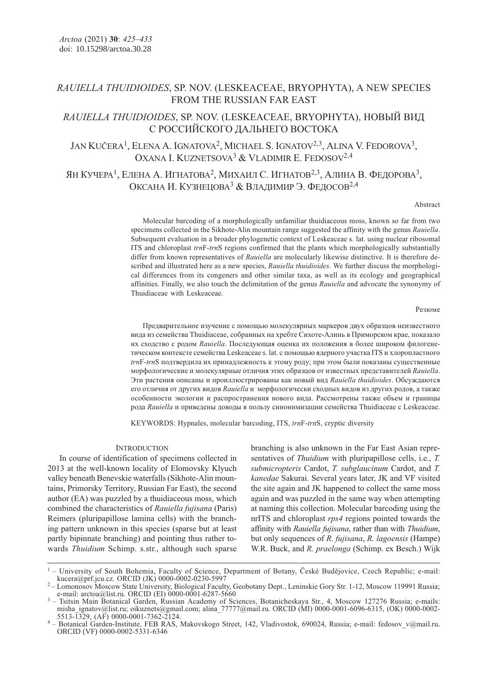# RAUIELLA THUIDIOIDES, SP. NOV. (LESKEACEAE, BRYOPHYTA), A NEW SPECIES FROM THE RUSSIAN FAR EAST

# RAUIELLA THUIDIOIDES, SP. NOV. (LESKEACEAE, BRYOPHYTA), НОВЫЙ ВИД С РОССИЙСКОГО ДАЛЬНЕГО ВОСТОКА

JAN KUČERA<sup>1</sup>, ELENA A. IGNATOVA<sup>2</sup>, MICHAEL S. IGNATOV<sup>2,3</sup>, ALINA V. FEDOROVA<sup>3</sup>, OXANA I. KUZNETSOVA<sup>3</sup> & VLADIMIR E. FEDOSOV<sup>2,4</sup>

ЯН КУЧЕРА<sup>1</sup>, ЕЛЕНА А. ИГНАТОВА<sup>2</sup>, МИХАИЛ С. ИГНАТОВ<sup>2,3</sup>, АЛИНА В. ФЕДОРОВА<sup>3</sup>, ОКСАНА И. КУЗНЕЦОВА<sup>3</sup> & ВЛАДИМИР Э. ФЕДОСОВ<sup>2,4</sup>

### Abstract

Molecular barcoding of a morphologically unfamiliar thuidiaceous moss, known so far from two specimens collected in the Sikhote-Alin mountain range suggested the affinity with the genus Rauiella. Subsequent evaluation in a broader phylogenetic context of Leskeaceae s. lat. using nuclear ribosomal ITS and chloroplast trnF-trnS regions confirmed that the plants which morphologically substantially differ from known representatives of Rauiella are molecularly likewise distinctive. It is therefore described and illustrated here as a new species, Rauiella thuidioides. We further discuss the morphological differences from its congeners and other similar taxa, as well as its ecology and geographical affinities. Finally, we also touch the delimitation of the genus Rauiella and advocate the synonymy of Thuidiaceae with Leskeaceae.

#### Резюме

Предварительное изучение с помощью молекулярных маркеров двух образцов неизвестного вида из семейства Thuidiaceae, собранных на хребте Сихоте-Алинь в Приморском крае, показало их сходство с родом Rauiella. Последующая оценка их положения в более широком филогенетическом контексте семейства Leskeaceae s. lat. с помощью ядерного участка ITS и хлоропластного trnF-trnS подтвердила их принадлежность к этому роду; при этом были показаны существенные морфологические и молекулярные отличия этих образцов от известных представителей Rauiella. Эти растения описаны и проиллюстрированы как новый вид Rauiella thuidioides. Обсуждаются его отличия от других видов Rauiella и морфологически сходных видов из других родов, а также особенности экологии и распространения нового вида. Рассмотрены также объем и границы рода Rauiella и приведены доводы в пользу синонимизации семейства Thuidiaceae с Leskeaceae.

KEYWORDS: Hypnales, molecular barcoding, ITS, trnF-trnS, cryptic diversity

## **INTRODUCTION**

In course of identification of specimens collected in 2013 at the well-known locality of Elomovsky Klyuch valley beneath Benevskie waterfalls (Sikhote-Alin mountains, Primorsky Territory, Russian Far East), the second author (EA) was puzzled by a thuidiaceous moss, which combined the characteristics of Rauiella fujisana (Paris) Reimers (pluripapillose lamina cells) with the branching pattern unknown in this species (sparse but at least partly bipinnate branching) and pointing thus rather towards Thuidium Schimp. s.str., although such sparse

branching is also unknown in the Far East Asian representatives of *Thuidium* with pluripapillose cells, i.e., *T.* submicropteris Cardot, T. subglaucinum Cardot, and T. kanedae Sakurai. Several years later, JK and VF visited the site again and JK happened to collect the same moss again and was puzzled in the same way when attempting at naming this collection. Molecular barcoding using the nrITS and chloroplast rps4 regions pointed towards the affinity with Rauiella fujisana, rather than with Thuidium, but only sequences of R. fujisana, R. lagoensis (Hampe) W.R. Buck, and R. praelonga (Schimp. ex Besch.) Wijk

<sup>&</sup>lt;sup>1</sup> – University of South Bohemia, Faculty of Science, Department of Botany, České Budějovice, Czech Republic; e-mail:<br>
kucera@prf.jcu.cz. ORCID (JK) 0000-0002-0230-5997

<sup>&</sup>lt;sup>2</sup> – Lomonosov Moscow State University, Biological Faculty, Geobotany Dept., Leninskie Gory Str. 1-12, Moscow 119991 Russia; e-mail: arctoa@list.ru. ORCID (EI) 0000-0001-6287-5660

<sup>&</sup>lt;sup>3</sup> – Tsitsin Main Botanical Garden, Russian Academy of Sciences, Botanicheskaya Str., 4, Moscow 127276 Russia; e-mails: misha\_ignatov@list.ru; oikuznets@gmail.com; alina\_77777@mail.ru. ORCID (MI) 0000-0001-6096-6315, (OK) 0000-0002-<br>5513-1329, (AF) 0000-0001-7362-2124.

<sup>&</sup>lt;sup>4</sup> - Botanical Garden-Institute, FEB RAS, Makovskogo Street, 142, Vladivostok, 690024, Russia; e-mail: fedosov\_v@mail.ru. ORCID (VF) 0000-0002-5331-6346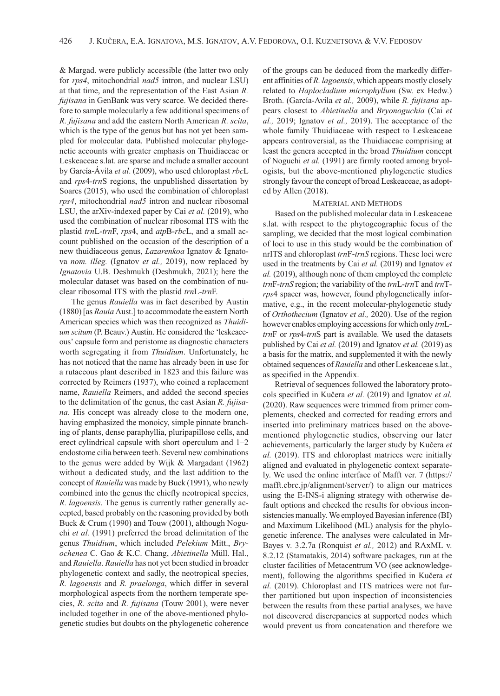& Margad. were publicly accessible (the latter two only for rps4, mitochondrial nad5 intron, and nuclear LSU) at that time, and the representation of the East Asian R. fujisana in GenBank was very scarce. We decided therefore to sample molecularly a few additional specimens of R. fujisana and add the eastern North American R. scita, which is the type of the genus but has not yet been sampled for molecular data. Published molecular phylogenetic accounts with greater emphasis on Thuidiaceae or Leskeaceae s.lat. are sparse and include a smaller account by García-Ávila et al. (2009), who used chloroplast rbcL and rps4-trnS regions, the unpublished dissertation by Soares (2015), who used the combination of chloroplast rps4, mitochondrial nad5 intron and nuclear ribosomal LSU, the arXiv-indexed paper by Cai et al. (2019), who used the combination of nuclear ribosomal ITS with the plastid trnL-trnF, rps4, and atpB-rbcL, and a small account published on the occasion of the description of a new thuidiaceous genus, *Lazarenkoa* Ignatov & Ignatova nom. illeg. (Ignatov et al., 2019), now replaced by Ignatovia U.B. Deshmukh (Deshmukh, 2021); here the molecular dataset was based on the combination of nuclear ribosomal ITS with the plastid trnL-trnF.

The genus Rauiella was in fact described by Austin (1880) [as Rauia Aust.] to accommodate the eastern North American species which was then recognized as Thuidium scitum (P. Beauv.) Austin. He considered the 'leskeaceous' capsule form and peristome as diagnostic characters worth segregating it from Thuidium. Unfortunately, he has not noticed that the name has already been in use for a rutaceous plant described in 1823 and this failure was corrected by Reimers (1937), who coined a replacement name, Rauiella Reimers, and added the second species to the delimitation of the genus, the east Asian R. fujisana. His concept was already close to the modern one, having emphasized the monoicy, simple pinnate branching of plants, dense paraphyllia, pluripapillose cells, and erect cylindrical capsule with short operculum and 1–2 endostome cilia between teeth. Several new combinations to the genus were added by Wijk & Margadant (1962) without a dedicated study, and the last addition to the concept of Rauiella was made by Buck (1991), who newly combined into the genus the chiefly neotropical species, R. lagoensis. The genus is currently rather generally accepted, based probably on the reasoning provided by both Buck & Crum (1990) and Touw (2001), although Noguchi et al. (1991) preferred the broad delimitation of the genus Thuidium, which included Pelekium Mitt., Bryochenea C. Gao & K.C. Chang, Abietinella Müll. Hal., and Rauiella. Rauiella has not yet been studied in broader phylogenetic context and sadly, the neotropical species, R. lagoensis and R. praelonga, which differ in several morphological aspects from the northern temperate species, R. scita and R. fujisana (Touw 2001), were never included together in one of the above-mentioned phylogenetic studies but doubts on the phylogenetic coherence

of the groups can be deduced from the markedly different affinities of R. lagoensis, which appears mostly closely related to Haplocladium microphyllum (Sw. ex Hedw.) Broth. (García-Avila et al., 2009), while R. fujisana appears closest to Abietinella and Bryonoguchia (Cai et al., 2019; Ignatov et al., 2019). The acceptance of the whole family Thuidiaceae with respect to Leskeaceae appears controversial, as the Thuidiaceae comprising at least the genera accepted in the broad Thuidium concept of Noguchi et al. (1991) are firmly rooted among bryologists, but the above-mentioned phylogenetic studies strongly favour the concept of broad Leskeaceae, as adopted by Allen (2018).

### MATERIAL AND METHODS

Based on the published molecular data in Leskeaceae s.lat. with respect to the phytogeographic focus of the sampling, we decided that the most logical combination of loci to use in this study would be the combination of nrITS and chloroplast trnF-trnS regions. These loci were used in the treatments by Cai et al. (2019) and Ignatov et al. (2019), although none of them employed the complete  $trnF-trnS$  region; the variability of the  $trnL-trnT$  and  $trnT$ rps4 spacer was, however, found phylogenetically informative, e.g., in the recent molecular-phylogenetic study of Orthothecium (Ignatov et al., 2020). Use of the region however enables employing accessions for which only trnLtrnF or rps4-trnS part is available. We used the datasets published by Cai et al. (2019) and Ignatov et al. (2019) as a basis for the matrix, and supplemented it with the newly obtained sequences of Rauiella and other Leskeaceae s.lat., as specified in the Appendix.

Retrieval of sequences followed the laboratory protocols specified in Kučera et al. (2019) and Ignatov et al. (2020). Raw sequences were trimmed from primer complements, checked and corrected for reading errors and inserted into preliminary matrices based on the abovementioned phylogenetic studies, observing our later achievements, particularly the larger study by Kučera et al. (2019). ITS and chloroplast matrices were initially aligned and evaluated in phylogenetic context separately. We used the online interface of Mafft ver. 7 (https:// mafft.cbrc.jp/alignment/server/) to align our matrices using the E-INS-i aligning strategy with otherwise default options and checked the results for obvious inconsistencies manually. We employed Bayesian inference (BI) and Maximum Likelihood (ML) analysis for the phylogenetic inference. The analyses were calculated in Mr-Bayes v. 3.2.7a (Ronquist et al., 2012) and RAxML v. 8.2.12 (Stamatakis, 2014) software packages, run at the cluster facilities of Metacentrum VO (see acknowledgement), following the algorithms specified in Kučera et al. (2019). Chloroplast and ITS matrices were not further partitioned but upon inspection of inconsistencies between the results from these partial analyses, we have not discovered discrepancies at supported nodes which would prevent us from concatenation and therefore we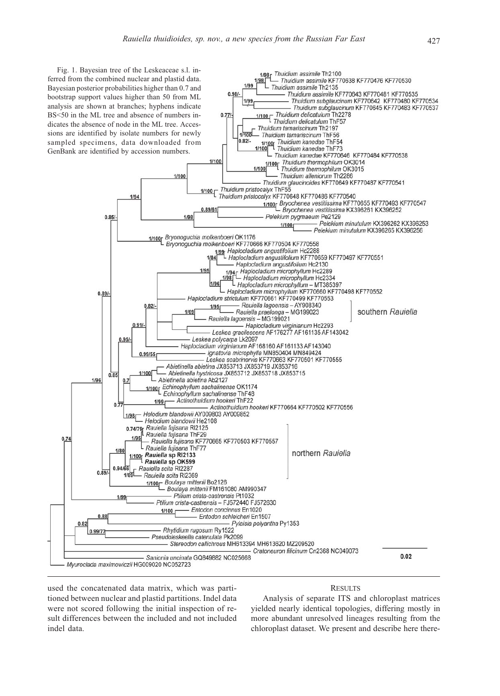

used the concatenated data matrix, which was partitioned between nuclear and plastid partitions. Indel data were not scored following the initial inspection of result differences between the included and not included indel data.

# Analysis of separate ITS and chloroplast matrices yielded nearly identical topologies, differing mostly in more abundant unresolved lineages resulting from the chloroplast dataset. We present and describe here there-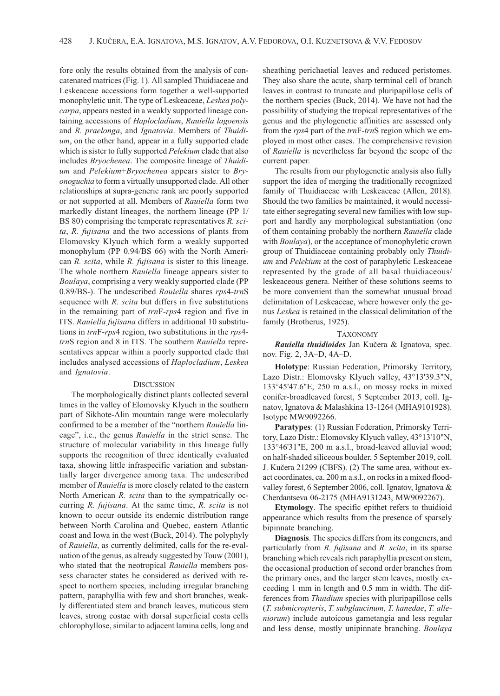fore only the results obtained from the analysis of concatenated matrices (Fig. 1). All sampled Thuidiaceae and Leskeaceae accessions form together a well-supported monophyletic unit. The type of Leskeaceae, Leskea polycarpa, appears nested in a weakly supported lineage containing accessions of Haplocladium, Rauiella lagoensis and R. praelonga, and Ignatovia. Members of Thuidium, on the other hand, appear in a fully supported clade which is sister to fully supported Pelekium clade that also includes Bryochenea. The composite lineage of Thuidium and Pelekium+Bryochenea appears sister to Bryonoguchia to form a virtually unsupported clade. All other relationships at supra-generic rank are poorly supported or not supported at all. Members of Rauiella form two markedly distant lineages, the northern lineage (PP 1/ BS 80) comprising the temperate representatives R. scita, R. fujisana and the two accessions of plants from Elomovsky Klyuch which form a weakly supported monophylum (PP 0.94/BS 66) with the North American R. scita, while R. fujisana is sister to this lineage. The whole northern Rauiella lineage appears sister to Boulaya, comprising a very weakly supported clade (PP 0.89/BS-). The undescribed Rauiella shares rps4-trnS sequence with R. scita but differs in five substitutions in the remaining part of trnF-rps4 region and five in ITS. Rauiella fujisana differs in additional 10 substitutions in trnF-rps4 region, two substitutions in the rps4 trnS region and 8 in ITS. The southern Rauiella representatives appear within a poorly supported clade that includes analysed accessions of Haplocladium, Leskea and Ignatovia.

### **DISCUSSION**

The morphologically distinct plants collected several times in the valley of Elomovsky Klyuch in the southern part of Sikhote-Alin mountain range were molecularly confirmed to be a member of the "northern Rauiella lineage", i.e., the genus Rauiella in the strict sense. The structure of molecular variability in this lineage fully supports the recognition of three identically evaluated taxa, showing little infraspecific variation and substantially larger divergence among taxa. The undescribed member of Rauiella is more closely related to the eastern North American R. scita than to the sympatrically occurring R. fujisana. At the same time, R. scita is not known to occur outside its endemic distribution range between North Carolina and Quebec, eastern Atlantic coast and Iowa in the west (Buck, 2014). The polyphyly of Rauiella, as currently delimited, calls for the re-evaluation of the genus, as already suggested by Touw (2001), who stated that the neotropical Rauiella members possess character states he considered as derived with respect to northern species, including irregular branching pattern, paraphyllia with few and short branches, weakly differentiated stem and branch leaves, muticous stem leaves, strong costae with dorsal superficial costa cells chlorophyllose, similar to adjacent lamina cells, long and

sheathing perichaetial leaves and reduced peristomes. They also share the acute, sharp terminal cell of branch leaves in contrast to truncate and pluripapillose cells of the northern species (Buck, 2014). We have not had the possibility of studying the tropical representatives of the genus and the phylogenetic affinities are assessed only from the *rps*4 part of the *trnF-trnS* region which we employed in most other cases. The comprehensive revision of Rauiella is nevertheless far beyond the scope of the current paper.

The results from our phylogenetic analysis also fully support the idea of merging the traditionally recognized family of Thuidiaceae with Leskeaceae (Allen, 2018). Should the two families be maintained, it would necessitate either segregating several new families with low support and hardly any morphological substantiation (one of them containing probably the northern Rauiella clade with *Boulaya*), or the acceptance of monophyletic crown group of Thuidiaceae containing probably only Thuidium and Pelekium at the cost of paraphyletic Leskeaceae represented by the grade of all basal thuidiaceous/ leskeaceous genera. Neither of these solutions seems to be more convenient than the somewhat unusual broad delimitation of Leskeaceae, where however only the genus Leskea is retained in the classical delimitation of the family (Brotherus, 1925).

### TAXONOMY

Rauiella thuidioides Jan Kučera & Ignatova, spec. nov. Fig. 2, 3A–D, 4A–D.

Holotype: Russian Federation, Primorsky Territory, Lazo Distr.: Elomovsky Klyuch valley, 43°13'39.3"N, 133°45'47.6"E, 250 m a.s.l., on mossy rocks in mixed conifer-broadleaved forest, 5 September 2013, coll. Ignatov, Ignatova & Malashkina 13-1264 (MHA9101928). Isotype MW9092266.

Paratypes: (1) Russian Federation, Primorsky Territory, Lazo Distr.: Elomovsky Klyuch valley, 43°13'10"N, 133°46'31"E, 200 m a.s.l., broad-leaved alluvial wood; on half-shaded siliceous boulder, 5 September 2019, coll. J. Kučera 21299 (CBFS). (2) The same area, without exact coordinates, ca. 200 m a.s.l., on rocks in a mixed floodvalley forest, 6 September 2006, coll. Ignatov, Ignatova & Cherdantseva 06-2175 (MHA9131243, MW9092267).

Etymology. The specific epithet refers to thuidioid appearance which results from the presence of sparsely bipinnate branching.

Diagnosis. The species differs from its congeners, and particularly from R. fujisana and R. scita, in its sparse branching which reveals rich paraphyllia present on stem, the occasional production of second order branches from the primary ones, and the larger stem leaves, mostly exceeding 1 mm in length and 0.5 mm in width. The differences from Thuidium species with pluripapillose cells (T. submicropteris, T. subglaucinum, T. kanedae, T. alleniorum) include autoicous gametangia and less regular and less dense, mostly unipinnate branching. Boulaya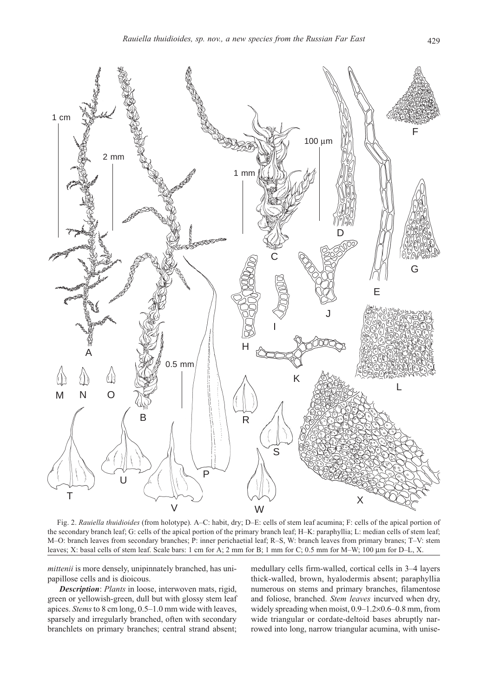

Fig. 2. Rauiella thuidioides (from holotype). A–C: habit, dry; D–E: cells of stem leaf acumina; F: cells of the apical portion of the secondary branch leaf; G: cells of the apical portion of the primary branch leaf; H–K: paraphyllia; L: median cells of stem leaf; M–O: branch leaves from secondary branches; P: inner perichaetial leaf; R–S, W: branch leaves from primary branes; T–V: stem leaves; X: basal cells of stem leaf. Scale bars: 1 cm for A; 2 mm for B; 1 mm for C; 0.5 mm for M–W; 100 μm for D–L, Х.

mittenii is more densely, unipinnately branched, has unipapillose cells and is dioicous.

Description: Plants in loose, interwoven mats, rigid, green or yellowish-green, dull but with glossy stem leaf apices. Stems to 8 cm long, 0.5–1.0 mm wide with leaves, sparsely and irregularly branched, often with secondary branchlets on primary branches; central strand absent;

medullary cells firm-walled, cortical cells in 3–4 layers thick-walled, brown, hyalodermis absent; paraphyllia numerous on stems and primary branches, filamentose and foliose, branched. Stem leaves incurved when dry, widely spreading when moist, 0.9–1.2×0.6–0.8 mm, from wide triangular or cordate-deltoid bases abruptly narrowed into long, narrow triangular acumina, with unise-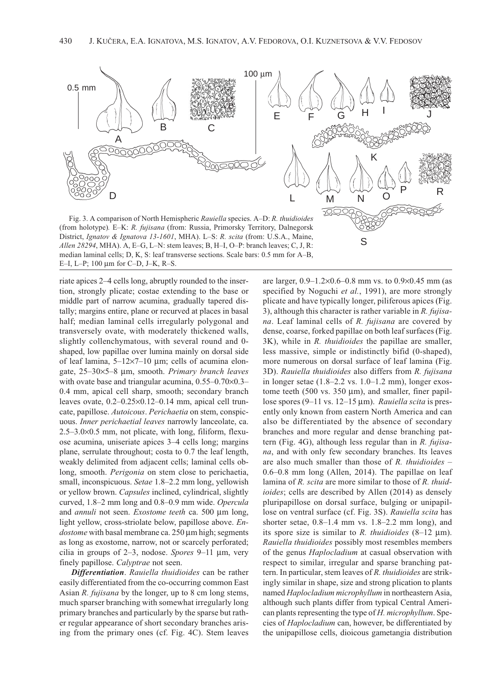

Fig. 3. A comparison of North Hemispheric Rauiella species. A–D: R. thuidioides (from holotype). E–K: R. fujisana (from: Russia, Primorsky Territory, Dalnegorsk District, Ignatov & Ignatova 13-1601, MHA). L-S: R. scita (from: U.S.A., Maine, Allen 28294, MHA). A, E–G, L–N: stem leaves; B, H–I, O–P: branch leaves; C, J, R: median laminal cells; D, K, S: leaf transverse sections. Scale bars: 0.5 mm for A–B, E–I, L–P; 100 μm for C–D, J–K, R–S.

riate apices 2–4 cells long, abruptly rounded to the insertion, strongly plicate; costae extending to the base or middle part of narrow acumina, gradually tapered distally; margins entire, plane or recurved at places in basal half; median laminal cells irregularly polygonal and transversely ovate, with moderately thickened walls, slightly collenchymatous, with several round and 0 shaped, low papillae over lumina mainly on dorsal side of leaf lamina, 5–12×7–10 μm; cells of acumina elongate, 25–30×5–8 μm, smooth. Primary branch leaves with ovate base and triangular acumina, 0.55–0.70×0.3– 0.4 mm, apical cell sharp, smooth; secondary branch leaves ovate, 0.2–0.25×0.12–0.14 mm, apical cell truncate, papillose. Autoicous. Perichaetia on stem, conspicuous. Inner perichaetial leaves narrowly lanceolate, ca. 2.5–3.0×0.5 mm, not plicate, with long, filiform, flexuose acumina, uniseriate apices 3–4 cells long; margins plane, serrulate throughout; costa to 0.7 the leaf length, weakly delimited from adjacent cells; laminal cells oblong, smooth. Perigonia on stem close to perichaetia, small, inconspicuous. Setae 1.8–2.2 mm long, yellowish or yellow brown. Capsules inclined, cylindrical, slightly curved, 1.8–2 mm long and 0.8–0.9 mm wide. Opercula and annuli not seen. Exostome teeth ca. 500 μm long, light yellow, cross-striolate below, papillose above. Endostome with basal membrane ca. 250 μm high; segments as long as exostome, narrow, not or scarcely perforated; cilia in groups of 2–3, nodose. Spores 9–11 μm, very finely papillose. Calyptrae not seen.

Differentiation. Rauiella thuidioides can be rather easily differentiated from the co-occurring common East Asian *R. fujisana* by the longer, up to 8 cm long stems, much sparser branching with somewhat irregularly long primary branches and particularly by the sparse but rather regular appearance of short secondary branches arising from the primary ones (cf. Fig. 4C). Stem leaves

are larger, 0.9–1.2×0.6–0.8 mm vs. to 0.9×0.45 mm (as specified by Noguchi et al., 1991), are more strongly plicate and have typically longer, piliferous apices (Fig. 3), although this character is rather variable in  $R.$  fujisana. Leaf laminal cells of R. fujisana are covered by dense, coarse, forked papillae on both leaf surfaces (Fig. 3K), while in R. thuidioides the papillae are smaller, less massive, simple or indistinctly bifid (0-shaped), more numerous on dorsal surface of leaf lamina (Fig. 3D). Rauiella thuidioides also differs from R. fujisana in longer setae (1.8–2.2 vs. 1.0–1.2 mm), longer exostome teeth (500 vs.  $350 \mu m$ ), and smaller, finer papillose spores (9–11 vs. 12–15 μm). Rauiella scita is presently only known from eastern North America and can also be differentiated by the absence of secondary branches and more regular and dense branching pattern (Fig. 4G), although less regular than in R. fujisana, and with only few secondary branches. Its leaves are also much smaller than those of R. thuidioides – 0.6–0.8 mm long (Allen, 2014). The papillae on leaf lamina of R. scita are more similar to those of R. thuidioides; cells are described by Allen (2014) as densely pluripapillose on dorsal surface, bulging or unipapillose on ventral surface (cf. Fig. 3S). Rauiella scita has shorter setae, 0.8–1.4 mm vs. 1.8–2.2 mm long), and its spore size is similar to R. thuidioides  $(8-12 \mu m)$ . Rauiella thuidioides possibly most resembles members of the genus Haplocladium at casual observation with respect to similar, irregular and sparse branching pattern. In particular, stem leaves of R. thuidioides are strikingly similar in shape, size and strong plication to plants named Haplocladium microphyllum in northeastern Asia, although such plants differ from typical Central American plants representing the type of H. microphyllum. Species of Haplocladium can, however, be differentiated by the unipapillose cells, dioicous gametangia distribution

S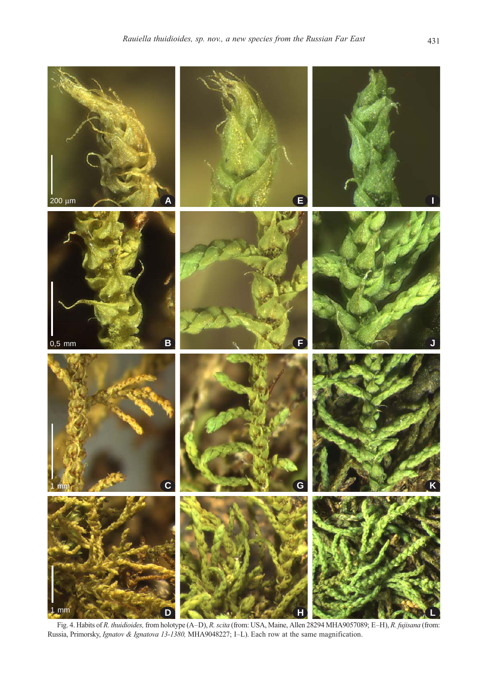

Fig. 4. Habits of R. thuidioides, from holotype (A–D), R. scita (from: USA, Maine, Allen 28294 MHA9057089; E–H), R. fujisana (from: Russia, Primorsky, Ignatov & Ignatova 13-1380, MHA9048227; I–L). Each row at the same magnification.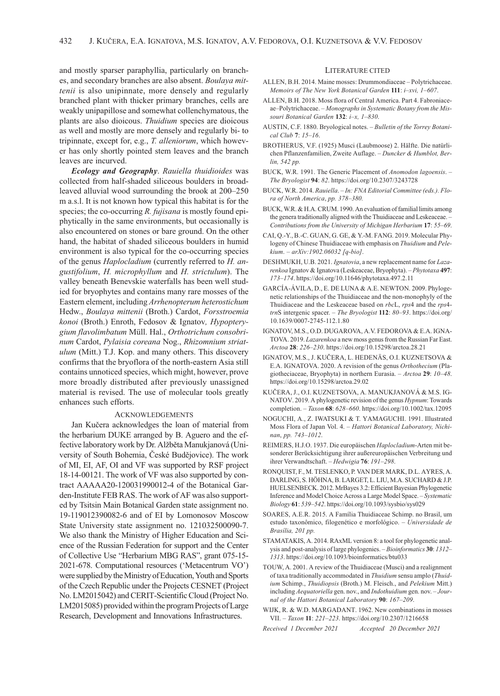and mostly sparser paraphyllia, particularly on branches, and secondary branches are also absent. Boulaya mittenii is also unipinnate, more densely and regularly branched plant with thicker primary branches, cells are weakly unipapillose and somewhat collenchymatous, the plants are also dioicous. Thuidium species are dioicous as well and mostly are more densely and regularly bi- to tripinnate, except for, e.g., T. alleniorum, which however has only shortly pointed stem leaves and the branch leaves are incurved.

**Ecology and Geography.** Rauiella thuidioides was collected from half-shaded siliceous boulders in broadleaved alluvial wood surrounding the brook at 200–250 m a.s.l. It is not known how typical this habitat is for the species; the co-occurring R. fujisana is mostly found epiphytically in the same environments, but occasionally is also encountered on stones or bare ground. On the other hand, the habitat of shaded siliceous boulders in humid environment is also typical for the co-occurring species of the genus Haplocladium (currently referred to H. angustifolium, H. microphyllum and H. strictulum). The valley beneath Benevskie waterfalls has been well studied for bryophytes and contains many rare mosses of the Eastern element, including Arrhenopterum heterostichum Hedw., Boulaya mittenii (Broth.) Cardot, Forsstroemia konoi (Broth.) Enroth, Fedosov & Ignatov, Hypopterygium flavolimbatum Müll. Hal., Orthotrichum consobrinum Cardot, Pylaisia coreana Nog., Rhizomnium striatulum (Mitt.) T.J. Kop. and many others. This discovery confirms that the bryoflora of the north-eastern Asia still contains unnoticed species, which might, however, prove more broadly distributed after previously unassigned material is revised. The use of molecular tools greatly enhances such efforts.

## ACKNOWLEDGEMENTS

Jan Kučera acknowledges the loan of material from the herbarium DUKE arranged by B. Aguero and the effective laboratory work by Dr. Alžběta Manukjanová (University of South Bohemia, České Budějovice). The work of MI, EI, AF, OI and VF was supported by RSF project 18-14-00121. The work of VF was also supported by contract AAAAA20-120031990012-4 of the Botanical Garden-Institute FEB RAS. The work of AF was also supported by Tsitsin Main Botanical Garden state assignment no. 19-119012390082-6 and of EI by Lomonosov Moscow State University state assignment no. 121032500090-7. We also thank the Ministry of Higher Education and Science of the Russian Federation for support and the Center of Collective Use "Herbarium MBG RAS", grant 075-15- 2021-678. Computational resources ('Metacentrum VO') were supplied by the Ministry of Education, Youth and Sports of the Czech Republic under the Projects CESNET (Project No. LM2015042) and CERIT-Scientific Cloud (Project No. LM2015085) provided within the program Projects of Large Research, Development and Innovations Infrastructures.

### LITERATURE CITED

- ALLEN, B.H. 2014. Maine mosses: Drummondiaceae Polytrichaceae. Memoirs of The New York Botanical Garden 111: i–xvi, 1–607.
- ALLEN, B.H. 2018. Moss flora of Central America. Part 4. Fabroniaceae–Polytrichaceae. – Monographs in Systematic Botany from the Missouri Botanical Garden 132: i–x, 1–830.
- AUSTIN, C.F. 1880. Bryological notes. Bulletin of the Torrey Botanical Club 7: 15–16.
- BROTHERUS, V.F. (1925) Musci (Laubmoose) 2. Hälfte. Die natürlichen Pflanzenfamilien, Zweite Auflage. – Duncker & Humblot, Berlin, 542 pp.
- BUCK, W.R. 1991. The Generic Placement of Anomodon lagoensis. The Bryologist 94: 82. https://doi.org/10.2307/3243728
- BUCK, W.R. 2014. Rauiella. In: FNA Editorial Committee (eds.). Flora of North America, pp. 378–380.
- BUCK, W.R. & H.A. CRUM. 1990. An evaluation of familial limits among the genera traditionally aligned with the Thuidiaceae and Leskeaceae. – Contributions from the University of Michigan Herbarium 17: 55–69.
- CAI, Q.-Y., B.-C. GUAN, G. GE, & Y.-M. FANG. 2019. Molecular Phylogeny of Chinese Thuidiaceae with emphasis on Thuidium and Pelekium. – arXiv:1902.06032 [q-bio].
- DESHMUKH, U.B. 2021. Ignatovia, a new replacement name for Lazarenkoa Ignatov & Ignatova (Leskeaceae, Bryophyta). – Phytotaxa 497: 173–174. https://doi.org/10.11646/phytotaxa.497.2.11
- GARCÍA-ÁVILA, D., E. DE LUNA & A.E. NEWTON. 2009. Phylogenetic relationships of the Thuidiaceae and the non-monophyly of the Thuidiaceae and the Leskeaceae based on rbcL, rps4 and the rps4 trnS intergenic spacer. - The Bryologist 112: 80-93. https://doi.org/ 10.1639/0007-2745-112.1.80
- IGNATOV, M.S., O.D. DUGAROVA, A.V. FEDOROVA & E.A. IGNA-TOVA. 2019. Lazarenkoa a new moss genus from the Russian Far East. Arctoa 28: 226–230. https://doi.org/10.15298/arctoa.28.21
- IGNATOV, M.S., J. KUČERA, L. HEDENÄS, O.I. KUZNETSOVA & E.A. IGNATOVA. 2020. A revision of the genus Orthothecium (Plagiotheciaceae, Bryophyta) in northern Eurasia. – Arctoa 29: 10–48. https://doi.org/10.15298/arctoa.29.02
- KUČERA, J., O.I. KUZNETSOVA, A. MANUKJANOVÁ & M.S. IG-NATOV. 2019. A phylogenetic revision of the genus Hypnum: Towards completion. – Taxon 68: 628–660. https://doi.org/10.1002/tax.12095
- NOGUCHI, A., Z. IWATSUKI & T. YAMAGUCHI. 1991. Illustrated Moss Flora of Japan Vol. 4. – Hattori Botanical Laboratory, Nichinan, pp. 743–1012.
- REIMERS, H.J.O. 1937. Die europäischen Haplocladium-Arten mit besonderer Berücksichtigung ihrer außereuropäischen Verbreitung und ihrer Verwandtschaft. – Hedwigia 76: 191–298.
- RONQUIST, F., M. TESLENKO, P. VAN DER MARK, D.L. AYRES, A. DARLING, S. HÖHNA, B. LARGET, L. LIU, M.A. SUCHARD & J.P. HUELSENBECK. 2012. MrBayes 3.2: Efficient Bayesian Phylogenetic Inference and Model Choice Across a Large Model Space. – Systematic Biology 61: 539–542. https://doi.org/10.1093/sysbio/sys029
- SOARES, A.E.R. 2015. A Família Thuidiaceae Schimp. no Brasil, um estudo taxonômico, filogenético e morfológico. – Universidade de Brasília, 201 pp.
- STAMATAKIS, A. 2014. RAxML version 8: a tool for phylogenetic analysis and post-analysis of large phylogenies. – Bioinformatics 30: 1312– 1313. https://doi.org/10.1093/bioinformatics/btu033
- TOUW, A. 2001. A review of the Thuidiaceae (Musci) and a realignment of taxa traditionally accommodated in Thuidium sensu amplo (Thuidium Schimp., Thuidiopsis (Broth.) M. Fleisch., and Pelekium Mitt.) including Aequatoriella gen. nov., and Indothuidium gen. nov. – Journal of the Hattori Botanical Laboratory 90: 167–209.
- WIJK, R. & W.D. MARGADANT. 1962. New combinations in mosses VII. – Taxon 11: 221–223. https://doi.org/10.2307/1216658
- Received 1 December 2021 Accepted 20 December 2021